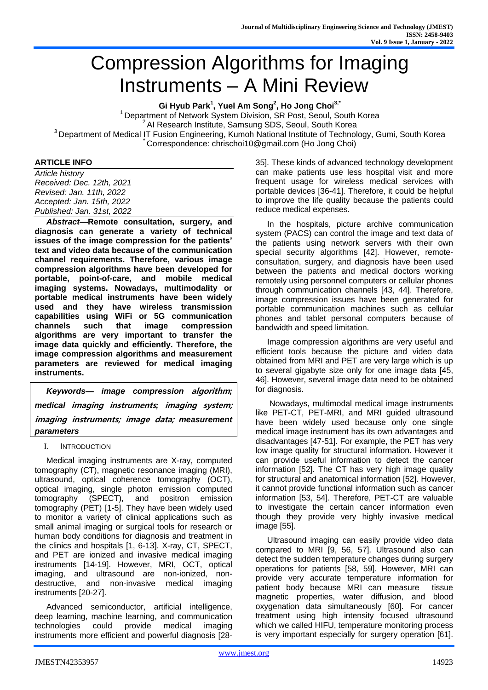# Compression Algorithms for Imaging Instruments – A Mini Review

**Gi Hyub Park<sup>1</sup> , Yuel Am Song<sup>2</sup> , Ho Jong Choi 3,\***

<sup>1</sup> Department of Network System Division, SR Post, Seoul, South Korea <sup>2</sup> AI Research Institute, Samsung SDS, Seoul, South Korea <sup>3</sup> Department of Medical IT Fusion Engineering, Kumoh National Institute of Technology, Gumi, South Korea **\*** Correspondence: chrischoi10@gmail.com (Ho Jong Choi)

#### **ARTICLE INFO**

*Article history Received: Dec. 12th, 2021 Revised: Jan. 11th, 2022 Accepted: Jan. 15th, 2022 Published: Jan. 31st, 2022*

*Abstract***—Remote consultation, surgery, and diagnosis can generate a variety of technical issues of the image compression for the patients' text and video data because of the communication channel requirements. Therefore, various image compression algorithms have been developed for portable, point-of-care, and mobile medical imaging systems. Nowadays, multimodality or portable medical instruments have been widely used and they have wireless transmission capabilities using WiFi or 5G communication channels such that image compression algorithms are very important to transfer the image data quickly and efficiently. Therefore, the image compression algorithms and measurement parameters are reviewed for medical imaging instruments.** 

*Keywords— image compression* **algorithm***; medical* **imaging instruments***;* **imaging system; imaging instruments; image data;** *measurement parameters*

I. INTRODUCTION

Medical imaging instruments are X-ray, computed tomography (CT), magnetic resonance imaging (MRI), ultrasound, optical coherence tomography (OCT), optical imaging, single photon emission computed tomography (SPECT), and positron emission tomography (PET) [1-5]. They have been widely used to monitor a variety of clinical applications such as small animal imaging or surgical tools for research or human body conditions for diagnosis and treatment in the clinics and hospitals [1, 6-13]. X-ray, CT, SPECT, and PET are ionized and invasive medical imaging instruments [14-19]. However, MRI, OCT, optical imaging, and ultrasound are non-ionized, nondestructive, and non-invasive medical imaging instruments [20-27].

Advanced semiconductor, artificial intelligence, deep learning, machine learning, and communication technologies could provide medical imaging instruments more efficient and powerful diagnosis [2835]. These kinds of advanced technology development can make patients use less hospital visit and more frequent usage for wireless medical services with portable devices [36-41]. Therefore, it could be helpful to improve the life quality because the patients could reduce medical expenses.

In the hospitals, picture archive communication system (PACS) can control the image and text data of the patients using network servers with their own special security algorithms [42]. However, remoteconsultation, surgery, and diagnosis have been used between the patients and medical doctors working remotely using personnel computers or cellular phones through communication channels [43, 44]. Therefore, image compression issues have been generated for portable communication machines such as cellular phones and tablet personal computers because of bandwidth and speed limitation.

Image compression algorithms are very useful and efficient tools because the picture and video data obtained from MRI and PET are very large which is up to several gigabyte size only for one image data [45, 46]. However, several image data need to be obtained for diagnosis.

Nowadays, multimodal medical image instruments like PET-CT, PET-MRI, and MRI guided ultrasound have been widely used because only one single medical image instrument has its own advantages and disadvantages [47-51]. For example, the PET has very low image quality for structural information. However it can provide useful information to detect the cancer information [52]. The CT has very high image quality for structural and anatomical information [52]. However, it cannot provide functional information such as cancer information [53, 54]. Therefore, PET-CT are valuable to investigate the certain cancer information even though they provide very highly invasive medical image [55].

Ultrasound imaging can easily provide video data compared to MRI [9, 56, 57]. Ultrasound also can detect the sudden temperature changes during surgery operations for patients [58, 59]. However, MRI can provide very accurate temperature information for patient body because MRI can measure tissue magnetic properties, water diffusion, and blood oxygenation data simultaneously [60]. For cancer treatment using high intensity focused ultrasound which we called HIFU, temperature monitoring process is very important especially for surgery operation [61].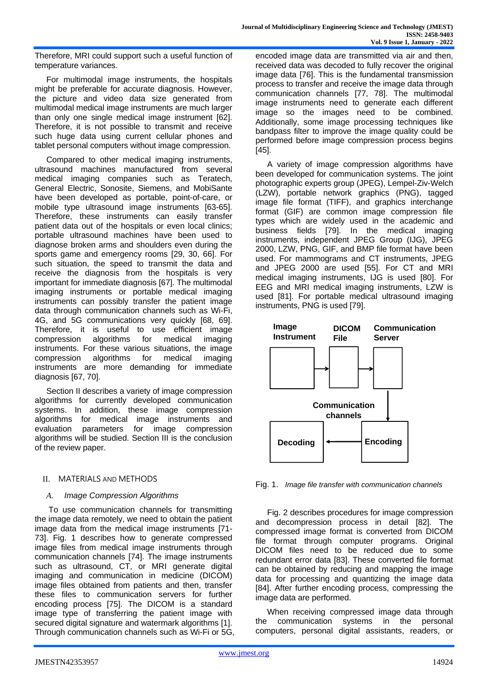Therefore, MRI could support such a useful function of temperature variances.

For multimodal image instruments, the hospitals might be preferable for accurate diagnosis. However, the picture and video data size generated from multimodal medical image instruments are much larger than only one single medical image instrument [62]. Therefore, it is not possible to transmit and receive such huge data using current cellular phones and tablet personal computers without image compression.

Compared to other medical imaging instruments, ultrasound machines manufactured from several medical imaging companies such as Teratech, General Electric, Sonosite, Siemens, and MobiSante have been developed as portable, point-of-care, or mobile type ultrasound image instruments [63-65]. Therefore, these instruments can easily transfer patient data out of the hospitals or even local clinics; portable ultrasound machines have been used to diagnose broken arms and shoulders even during the sports game and emergency rooms [29, 30, 66]. For such situation, the speed to transmit the data and receive the diagnosis from the hospitals is very important for immediate diagnosis [67]. The multimodal imaging instruments or portable medical imaging instruments can possibly transfer the patient image data through communication channels such as Wi-Fi, 4G, and 5G communications very quickly [68, 69]. Therefore, it is useful to use efficient image compression algorithms for medical imaging instruments. For these various situations, the image compression algorithms for medical imaging instruments are more demanding for immediate diagnosis [67, 70].

Section II describes a variety of image compression algorithms for currently developed communication systems. In addition, these image compression algorithms for medical image instruments and evaluation parameters for image compression algorithms will be studied. Section III is the conclusion of the review paper.

## II. MATERIALS AND METHODS

#### *A. Image Compression Algorithms*

To use communication channels for transmitting the image data remotely, we need to obtain the patient image data from the medical image instruments [71- 73]. Fig. 1 describes how to generate compressed image files from medical image instruments through communication channels [74]. The image instruments such as ultrasound, CT, or MRI generate digital imaging and communication in medicine (DICOM) image files obtained from patients and then, transfer these files to communication servers for further encoding process [75]. The DICOM is a standard image type of transferring the patient image with secured digital signature and watermark algorithms [1]. Through communication channels such as Wi-Fi or 5G, encoded image data are transmitted via air and then, received data was decoded to fully recover the original image data [76]. This is the fundamental transmission process to transfer and receive the image data through communication channels [77, 78]. The multimodal image instruments need to generate each different image so the images need to be combined. Additionally, some image processing techniques like bandpass filter to improve the image quality could be performed before image compression process begins [45].

A variety of image compression algorithms have been developed for communication systems. The joint photographic experts group (JPEG), Lempel-Ziv-Welch (LZW), portable network graphics (PNG), tagged image file format (TIFF), and graphics interchange format (GIF) are common image compression file types which are widely used in the academic and business fields [79]. In the medical imaging instruments, independent JPEG Group (IJG), JPEG 2000, LZW, PNG, GIF, and BMP file format have been used. For mammograms and CT instruments, JPEG and JPEG 2000 are used [55]. For CT and MRI medical imaging instruments, IJG is used [80]. For EEG and MRI medical imaging instruments, LZW is used [81]. For portable medical ultrasound imaging instruments, PNG is used [79].



Fig. 1. *Image file transfer with communication channels*

Fig. 2 describes procedures for image compression and decompression process in detail [82]. The compressed image format is converted from DICOM file format through computer programs. Original DICOM files need to be reduced due to some redundant error data [83]. These converted file format can be obtained by reducing and mapping the image data for processing and quantizing the image data [84]. After further encoding process, compressing the image data are performed.

When receiving compressed image data through the communication systems in the personal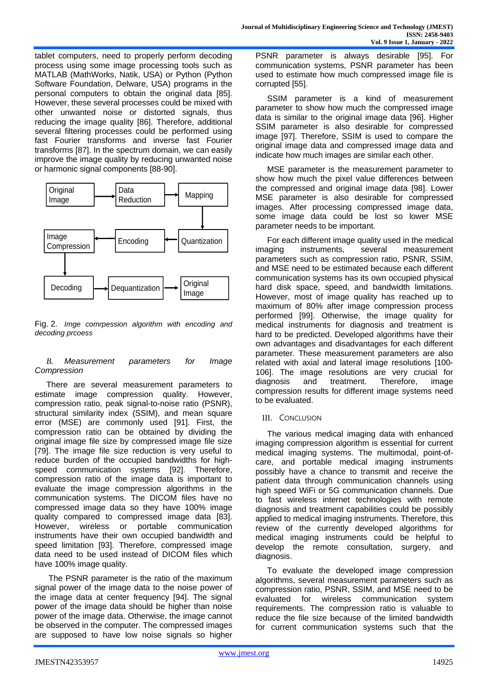tablet computers, need to properly perform decoding process using some image processing tools such as MATLAB (MathWorks, Natik, USA) or Python (Python Software Foundation, Delware, USA) programs in the personal computers to obtain the original data [85]. However, these several processes could be mixed with other unwanted noise or distorted signals, thus reducing the image quality [86]. Therefore, additional several filtering processes could be performed using fast Fourier transforms and inverse fast Fourier transforms [87]. In the spectrum domain, we can easily improve the image quality by reducing unwanted noise or harmonic signal components [88-90].



Fig. 2. *Imge comrpession algorithm with encoding and decoding prcoess*

## *B. Measurement parameters for Image Compression*

There are several measurement parameters to estimate image compression quality. However, compression ratio, peak signal-to-noise ratio (PSNR), structural similarity index (SSIM), and mean square error (MSE) are commonly used [91]. First, the compression ratio can be obtained by dividing the original image file size by compressed image file size [79]. The image file size reduction is very useful to reduce burden of the occupied bandwidths for highspeed communication systems [92]. Therefore, compression ratio of the image data is important to evaluate the image compression algorithms in the communication systems. The DICOM files have no compressed image data so they have 100% image quality compared to compressed image data [83]. However, wireless or portable communication instruments have their own occupied bandwidth and speed limitation [93]. Therefore, compressed image data need to be used instead of DICOM files which have 100% image quality.

The PSNR parameter is the ratio of the maximum signal power of the image data to the noise power of the image data at center frequency [94]. The signal power of the image data should be higher than noise power of the image data. Otherwise, the image cannot be observed in the computer. The compressed images are supposed to have low noise signals so higher PSNR parameter is always desirable [95]. For communication systems, PSNR parameter has been used to estimate how much compressed image file is corrupted [55].

SSIM parameter is a kind of measurement parameter to show how much the compressed image data is similar to the original image data [96]. Higher SSIM parameter is also desirable for compressed image [97]. Therefore, SSIM is used to compare the original image data and compressed image data and indicate how much images are similar each other.

MSE parameter is the measurement parameter to show how much the pixel value differences between the compressed and original image data [98]. Lower MSE parameter is also desirable for compressed images. After processing compressed image data, some image data could be lost so lower MSE parameter needs to be important.

For each different image quality used in the medical imaging instruments, several measurement parameters such as compression ratio, PSNR, SSIM, and MSE need to be estimated because each different communication systems has its own occupied physical hard disk space, speed, and bandwidth limitations. However, most of image quality has reached up to maximum of 80% after image compression process performed [99]. Otherwise, the image quality for medical instruments for diagnosis and treatment is hard to be predicted. Developed algorithms have their own advantages and disadvantages for each different parameter. These measurement parameters are also related with axial and lateral image resolutions [100- 106]. The image resolutions are very crucial for diagnosis and treatment. Therefore, image compression results for different image systems need to be evaluated.

## III. CONCLUSION

The various medical imaging data with enhanced imaging compression algorithm is essential for current medical imaging systems. The multimodal, point-ofcare, and portable medical imaging instruments possibly have a chance to transmit and receive the patient data through communication channels using high speed WiFi or 5G communication channels. Due to fast wireless internet technologies with remote diagnosis and treatment capabilities could be possibly applied to medical imaging instruments. Therefore, this review of the currently developed algorithms for medical imaging instruments could be helpful to develop the remote consultation, surgery, and diagnosis.

To evaluate the developed image compression algorithms, several measurement parameters such as compression ratio, PSNR, SSIM, and MSE need to be evaluated for wireless communication system requirements. The compression ratio is valuable to reduce the file size because of the limited bandwidth for current communication systems such that the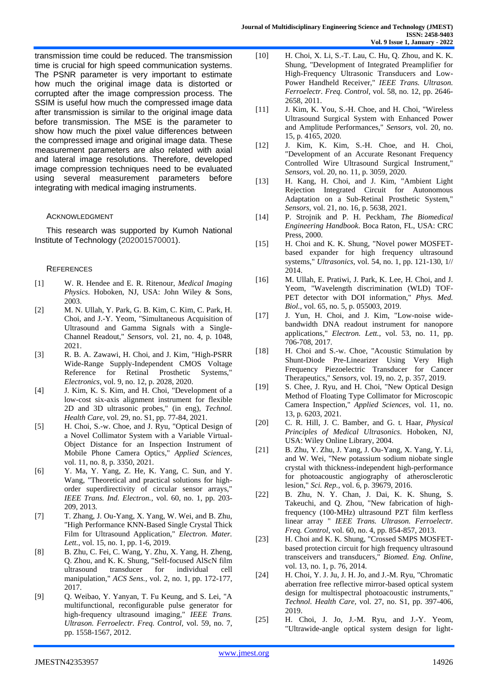transmission time could be reduced. The transmission time is crucial for high speed communication systems. The PSNR parameter is very important to estimate how much the original image data is distorted or corrupted after the image compression process. The SSIM is useful how much the compressed image data after transmission is similar to the original image data before transmission. The MSE is the parameter to show how much the pixel value differences between the compressed image and original image data. These measurement parameters are also related with axial and lateral image resolutions. Therefore, developed image compression techniques need to be evaluated using several measurement parameters before integrating with medical imaging instruments.

#### ACKNOWLEDGMENT

This research was supported by Kumoh National Institute of Technology (202001570001).

#### **REFERENCES**

- [1] W. R. Hendee and E. R. Ritenour, *Medical Imaging Physics*. Hoboken, NJ, USA: John Wiley & Sons, 2003.
- [2] M. N. Ullah, Y. Park, G. B. Kim, C. Kim, C. Park, H. Choi, and J.-Y. Yeom, "Simultaneous Acquisition of Ultrasound and Gamma Signals with a Single-Channel Readout," *Sensors,* vol. 21, no. 4, p. 1048, 2021.
- [3] R. B. A. Zawawi, H. Choi, and J. Kim, "High-PSRR Wide-Range Supply-Independent CMOS Voltage Reference for Retinal Prosthetic Systems," *Electronics,* vol. 9, no. 12, p. 2028, 2020.
- [4] J. Kim, K. S. Kim, and H. Choi, "Development of a low-cost six-axis alignment instrument for flexible 2D and 3D ultrasonic probes," (in eng), *Technol. Health Care,* vol. 29, no. S1, pp. 77-84, 2021.
- [5] H. Choi, S.-w. Choe, and J. Ryu, "Optical Design of a Novel Collimator System with a Variable Virtual-Object Distance for an Inspection Instrument of Mobile Phone Camera Optics," *Applied Sciences,*  vol. 11, no. 8, p. 3350, 2021.
- [6] Y. Ma, Y. Yang, Z. He, K. Yang, C. Sun, and Y. Wang, "Theoretical and practical solutions for highorder superdirectivity of circular sensor arrays," *IEEE Trans. Ind. Electron.,* vol. 60, no. 1, pp. 203- 209, 2013.
- [7] T. Zhang, J. Ou-Yang, X. Yang, W. Wei, and B. Zhu, "High Performance KNN-Based Single Crystal Thick Film for Ultrasound Application," *Electron. Mater. Lett.,* vol. 15, no. 1, pp. 1-6, 2019.
- [8] B. Zhu, C. Fei, C. Wang, Y. Zhu, X. Yang, H. Zheng, Q. Zhou, and K. K. Shung, "Self-focused AlScN film ultrasound transducer for individual cell manipulation," *ACS Sens.,* vol. 2, no. 1, pp. 172-177, 2017.
- [9] Q. Weibao, Y. Yanyan, T. Fu Keung, and S. Lei, "A multifunctional, reconfigurable pulse generator for high-frequency ultrasound imaging," *IEEE Trans. Ultrason. Ferroelectr. Freq. Control,* vol. 59, no. 7, pp. 1558-1567, 2012.
- [10] H. Choi, X. Li, S.-T. Lau, C. Hu, Q. Zhou, and K. K. Shung, "Development of Integrated Preamplifier for High-Frequency Ultrasonic Transducers and Low-Power Handheld Receiver," *IEEE Trans. Ultrason. Ferroelectr. Freq. Control,* vol. 58, no. 12, pp. 2646- 2658, 2011.
- [11] J. Kim, K. You, S.-H. Choe, and H. Choi, "Wireless Ultrasound Surgical System with Enhanced Power and Amplitude Performances," *Sensors,* vol. 20, no. 15, p. 4165, 2020.
- [12] J. Kim, K. Kim, S.-H. Choe, and H. Choi, "Development of an Accurate Resonant Frequency Controlled Wire Ultrasound Surgical Instrument," *Sensors,* vol. 20, no. 11, p. 3059, 2020.
- [13] H. Kang, H. Choi, and J. Kim, "Ambient Light Rejection Integrated Circuit for Autonomous Adaptation on a Sub-Retinal Prosthetic System," *Sensors,* vol. 21, no. 16, p. 5638, 2021.
- [14] P. Strojnik and P. H. Peckham, *The Biomedical Engineering Handbook*. Boca Raton, FL, USA: CRC Press, 2000.
- [15] H. Choi and K. K. Shung, "Novel power MOSFETbased expander for high frequency ultrasound systems," *Ultrasonics,* vol. 54, no. 1, pp. 121-130, 1// 2014.
- [16] M. Ullah, E. Pratiwi, J. Park, K. Lee, H. Choi, and J. Yeom, "Wavelength discrimination (WLD) TOF-PET detector with DOI information," Phys. Med. *Biol.,* vol. 65, no. 5, p. 055003, 2019.
- [17] J. Yun, H. Choi, and J. Kim, "Low-noise widebandwidth DNA readout instrument for nanopore applications," *Electron. Lett.,* vol. 53, no. 11, pp. 706-708, 2017.
- [18] H. Choi and S.-w. Choe, "Acoustic Stimulation by Shunt-Diode Pre-Linearizer Using Very High Frequency Piezoelectric Transducer for Cancer Therapeutics," *Sensors,* vol. 19, no. 2, p. 357, 2019.
- [19] S. Chee, J. Ryu, and H. Choi, "New Optical Design Method of Floating Type Collimator for Microscopic Camera Inspection," *Applied Sciences,* vol. 11, no. 13, p. 6203, 2021.
- [20] C. R. Hill, J. C. Bamber, and G. t. Haar, *Physical Principles of Medical Ultrasonics*. Hoboken, NJ, USA: Wiley Online Library, 2004.
- [21] B. Zhu, Y. Zhu, J. Yang, J. Ou-Yang, X. Yang, Y. Li, and W. Wei, "New potassium sodium niobate single crystal with thickness-independent high-performance for photoacoustic angiography of atherosclerotic lesion," *Sci. Rep.,* vol. 6, p. 39679, 2016.
- [22] B. Zhu, N. Y. Chan, J. Dai, K. K. Shung, S. Takeuchi, and Q. Zhou, "New fabrication of highfrequency (100-MHz) ultrasound PZT film kerfless linear array " *IEEE Trans. Ultrason. Ferroelectr. Freq. Control,* vol. 60, no. 4, pp. 854-857, 2013.
- [23] H. Choi and K. K. Shung, "Crossed SMPS MOSFETbased protection circuit for high frequency ultrasound transceivers and transducers," *Biomed. Eng. Online,*  vol. 13, no. 1, p. 76, 2014.
- [24] H. Choi, Y. J. Ju, J. H. Jo, and J.-M. Ryu, "Chromatic aberration free reflective mirror-based optical system design for multispectral photoacoustic instruments," *Technol. Health Care,* vol. 27, no. S1, pp. 397-406, 2019.
- [25] H. Choi, J. Jo, J.-M. Ryu, and J.-Y. Yeom, "Ultrawide-angle optical system design for light-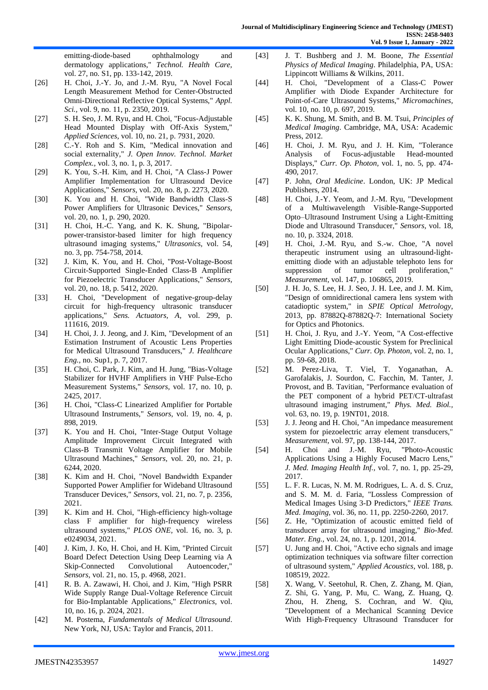emitting-diode-based ophthalmology and dermatology applications," *Technol. Health Care,*  vol. 27, no. S1, pp. 133-142, 2019.

- [26] H. Choi, J.-Y. Jo, and J.-M. Ryu, "A Novel Focal Length Measurement Method for Center-Obstructed Omni-Directional Reflective Optical Systems," *Appl. Sci.,* vol. 9, no. 11, p. 2350, 2019.
- [27] S. H. Seo, J. M. Ryu, and H. Choi, "Focus-Adjustable Head Mounted Display with Off-Axis System," *Applied Sciences,* vol. 10, no. 21, p. 7931, 2020.
- [28] C.-Y. Roh and S. Kim, "Medical innovation and social externality," *J. Open Innov. Technol. Market Complex.,* vol. 3, no. 1, p. 3, 2017.
- [29] K. You, S.-H. Kim, and H. Choi, "A Class-J Power Amplifier Implementation for Ultrasound Device Applications," *Sensors,* vol. 20, no. 8, p. 2273, 2020.
- [30] K. You and H. Choi, "Wide Bandwidth Class-S Power Amplifiers for Ultrasonic Devices," *Sensors,*  vol. 20, no. 1, p. 290, 2020.
- [31] H. Choi, H.-C. Yang, and K. K. Shung, "Bipolarpower-transistor-based limiter for high frequency ultrasound imaging systems," *Ultrasonics,* vol. 54, no. 3, pp. 754-758, 2014.
- [32] J. Kim, K. You, and H. Choi, "Post-Voltage-Boost Circuit-Supported Single-Ended Class-B Amplifier for Piezoelectric Transducer Applications," *Sensors,*  vol. 20, no. 18, p. 5412, 2020.
- [33] H. Choi, "Development of negative-group-delay circuit for high-frequency ultrasonic transducer applications," *Sens. Actuators, A,* vol. 299, p. 111616, 2019.
- [34] H. Choi, J. J. Jeong, and J. Kim, "Development of an Estimation Instrument of Acoustic Lens Properties for Medical Ultrasound Transducers," *J. Healthcare Eng.,* no. Sup1, p. 7, 2017.
- [35] H. Choi, C. Park, J. Kim, and H. Jung, "Bias-Voltage Stabilizer for HVHF Amplifiers in VHF Pulse-Echo Measurement Systems," *Sensors,* vol. 17, no. 10, p. 2425, 2017.
- [36] H. Choi, "Class-C Linearized Amplifier for Portable Ultrasound Instruments," *Sensors,* vol. 19, no. 4, p. 898, 2019.
- [37] K. You and H. Choi, "Inter-Stage Output Voltage Amplitude Improvement Circuit Integrated with Class-B Transmit Voltage Amplifier for Mobile Ultrasound Machines," *Sensors,* vol. 20, no. 21, p. 6244, 2020.
- [38] K. Kim and H. Choi, "Novel Bandwidth Expander Supported Power Amplifier for Wideband Ultrasound Transducer Devices," *Sensors,* vol. 21, no. 7, p. 2356, 2021.
- [39] K. Kim and H. Choi, "High-efficiency high-voltage class F amplifier for high-frequency wireless ultrasound systems," *PLOS ONE,* vol. 16, no. 3, p. e0249034, 2021.
- [40] J. Kim, J. Ko, H. Choi, and H. Kim, "Printed Circuit Board Defect Detection Using Deep Learning via A Skip-Connected Convolutional Autoencoder," *Sensors,* vol. 21, no. 15, p. 4968, 2021.
- [41] R. B. A. Zawawi, H. Choi, and J. Kim, "High PSRR Wide Supply Range Dual-Voltage Reference Circuit for Bio-Implantable Applications," *Electronics,* vol. 10, no. 16, p. 2024, 2021.
- [42] M. Postema, *Fundamentals of Medical Ultrasound*. New York, NJ, USA: Taylor and Francis, 2011.
- [43] J. T. Bushberg and J. M. Boone, *The Essential Physics of Medical Imaging*. Philadelphia, PA, USA: Lippincott Williams & Wilkins, 2011.
- [44] H. Choi, "Development of a Class-C Power Amplifier with Diode Expander Architecture for Point-of-Care Ultrasound Systems," *Micromachines,*  vol. 10, no. 10, p. 697, 2019.
- [45] K. K. Shung, M. Smith, and B. M. Tsui, *Principles of Medical Imaging*. Cambridge, MA, USA: Academic Press, 2012.
- [46] H. Choi, J. M. Ryu, and J. H. Kim, "Tolerance Analysis of Focus-adjustable Head-mounted Displays," *Curr. Op. Photon,* vol. 1, no. 5, pp. 474- 490, 2017.
- [47] P. John, *Oral Medicine*. London, UK: JP Medical Publishers, 2014.
- [48] H. Choi, J.-Y. Yeom, and J.-M. Ryu, "Development of a Multiwavelength Visible-Range-Supported Opto–Ultrasound Instrument Using a Light-Emitting Diode and Ultrasound Transducer," *Sensors,* vol. 18, no. 10, p. 3324, 2018.
- [49] H. Choi, J.-M. Ryu, and S.-w. Choe, "A novel therapeutic instrument using an ultrasound-lightemitting diode with an adjustable telephoto lens for suppression of tumor cell proliferation," *Measurement,* vol. 147, p. 106865, 2019.
- [50] J. H. Jo, S. Lee, H. J. Seo, J. H. Lee, and J. M. Kim, "Design of omnidirectional camera lens system with catadioptic system," in *SPIE Optical Metrology*, 2013, pp. 87882Q-87882Q-7: International Society for Optics and Photonics.
- [51] H. Choi, J. Ryu, and J.-Y. Yeom, "A Cost-effective Light Emitting Diode-acoustic System for Preclinical Ocular Applications," *Curr. Op. Photon,* vol. 2, no. 1, pp. 59-68, 2018.
- [52] M. Perez-Liva, T. Viel, T. Yoganathan, A. Garofalakis, J. Sourdon, C. Facchin, M. Tanter, J. Provost, and B. Tavitian, "Performance evaluation of the PET component of a hybrid PET/CT-ultrafast ultrasound imaging instrument," *Phys. Med. Biol.,*  vol. 63, no. 19, p. 19NT01, 2018.
- [53] J. J. Jeong and H. Choi, "An impedance measurement system for piezoelectric array element transducers," *Measurement,* vol. 97, pp. 138-144, 2017.
- [54] H. Choi and J.-M. Ryu, "Photo-Acoustic Applications Using a Highly Focused Macro Lens," *J. Med. Imaging Health Inf.,* vol. 7, no. 1, pp. 25-29, 2017.
- [55] L. F. R. Lucas, N. M. M. Rodrigues, L. A. d. S. Cruz, and S. M. M. d. Faria, "Lossless Compression of Medical Images Using 3-D Predictors," *IEEE Trans. Med. Imaging,* vol. 36, no. 11, pp. 2250-2260, 2017.
- [56] Z. He, "Optimization of acoustic emitted field of transducer array for ultrasound imaging," *Bio-Med. Mater. Eng.,* vol. 24, no. 1, p. 1201, 2014.
- [57] U. Jung and H. Choi, "Active echo signals and image optimization techniques via software filter correction of ultrasound system," *Applied Acoustics,* vol. 188, p. 108519, 2022.
- [58] X. Wang, V. Seetohul, R. Chen, Z. Zhang, M. Qian, Z. Shi, G. Yang, P. Mu, C. Wang, Z. Huang, Q. Zhou, H. Zheng, S. Cochran, and W. Qiu, "Development of a Mechanical Scanning Device With High-Frequency Ultrasound Transducer for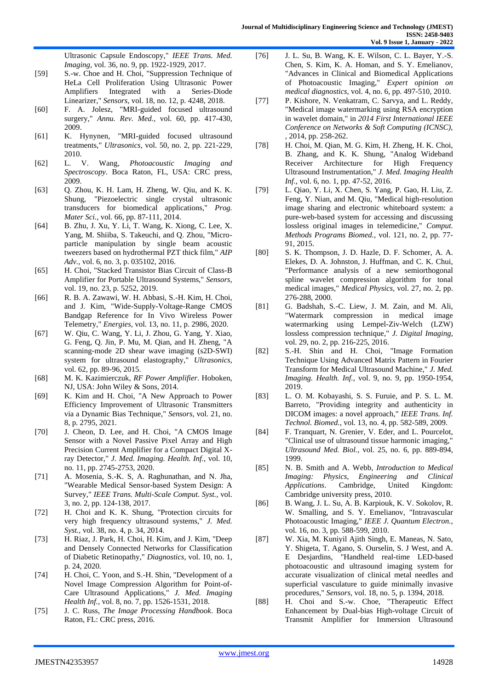Ultrasonic Capsule Endoscopy," *IEEE Trans. Med. Imaging,* vol. 36, no. 9, pp. 1922-1929, 2017.

- [59] S.-w. Choe and H. Choi, "Suppression Technique of HeLa Cell Proliferation Using Ultrasonic Power Amplifiers Integrated with a Series-Diode Linearizer," *Sensors,* vol. 18, no. 12, p. 4248, 2018.
- [60] F. A. Jolesz, "MRI-guided focused ultrasound surgery," *Annu. Rev. Med.,* vol. 60, pp. 417-430, 2009.
- [61] K. Hynynen, "MRI-guided focused ultrasound treatments," *Ultrasonics,* vol. 50, no. 2, pp. 221-229, 2010.
- [62] L. V. Wang, *Photoacoustic Imaging and Spectroscopy*. Boca Raton, FL, USA: CRC press, 2009.
- [63] Q. Zhou, K. H. Lam, H. Zheng, W. Qiu, and K. K. Shung, "Piezoelectric single crystal ultrasonic transducers for biomedical applications," *Prog. Mater Sci.,* vol. 66, pp. 87-111, 2014.
- [64] B. Zhu, J. Xu, Y. Li, T. Wang, K. Xiong, C. Lee, X. Yang, M. Shiiba, S. Takeuchi, and Q. Zhou, "Microparticle manipulation by single beam acoustic tweezers based on hydrothermal PZT thick film," *AIP Adv.,* vol. 6, no. 3, p. 035102, 2016.
- [65] H. Choi, "Stacked Transistor Bias Circuit of Class-B Amplifier for Portable Ultrasound Systems," *Sensors,*  vol. 19, no. 23, p. 5252, 2019.
- [66] R. B. A. Zawawi, W. H. Abbasi, S.-H. Kim, H. Choi, and J. Kim, "Wide-Supply-Voltage-Range CMOS Bandgap Reference for In Vivo Wireless Power Telemetry," *Energies,* vol. 13, no. 11, p. 2986, 2020.
- [67] W. Qiu, C. Wang, Y. Li, J. Zhou, G. Yang, Y. Xiao, G. Feng, Q. Jin, P. Mu, M. Qian, and H. Zheng, "A scanning-mode 2D shear wave imaging (s2D-SWI) system for ultrasound elastography," *Ultrasonics,*  vol. 62, pp. 89-96, 2015.
- [68] M. K. Kazimierczuk, *RF Power Amplifier*. Hoboken, NJ, USA: John Wiley & Sons, 2014.
- [69] K. Kim and H. Choi, "A New Approach to Power Efficiency Improvement of Ultrasonic Transmitters via a Dynamic Bias Technique," *Sensors,* vol. 21, no. 8, p. 2795, 2021.
- [70] J. Cheon, D. Lee, and H. Choi, "A CMOS Image Sensor with a Novel Passive Pixel Array and High Precision Current Amplifier for a Compact Digital Xray Detector," *J. Med. Imaging. Health. Inf.,* vol. 10, no. 11, pp. 2745-2753, 2020.
- [71] A. Mosenia, S.-K. S, A. Raghunathan, and N. Jha, "Wearable Medical Sensor-based System Design: A Survey," *IEEE Trans. Multi-Scale Comput. Syst.,* vol. 3, no. 2, pp. 124-138, 2017.
- [72] H. Choi and K. K. Shung, "Protection circuits for very high frequency ultrasound systems," *J. Med. Syst.,* vol. 38, no. 4, p. 34, 2014.
- [73] H. Riaz, J. Park, H. Choi, H. Kim, and J. Kim, "Deep and Densely Connected Networks for Classification of Diabetic Retinopathy," *Diagnostics,* vol. 10, no. 1, p. 24, 2020.
- [74] H. Choi, C. Yoon, and S.-H. Shin, "Development of a Novel Image Compression Algorithm for Point-of-Care Ultrasound Applications," *J. Med. Imaging Health Inf.,* vol. 8, no. 7, pp. 1526-1531, 2018.
- [75] J. C. Russ, *The Image Processing Handbook*. Boca Raton, FL: CRC press, 2016.
- [76] J. L. Su, B. Wang, K. E. Wilson, C. L. Bayer, Y.-S. Chen, S. Kim, K. A. Homan, and S. Y. Emelianov, "Advances in Clinical and Biomedical Applications of Photoacoustic Imaging," *Expert opinion on medical diagnostics,* vol. 4, no. 6, pp. 497-510, 2010.
- [77] P. Kishore, N. Venkatram, C. Sarvya, and L. Reddy, "Medical image watermarking using RSA encryption in wavelet domain," in *2014 First International IEEE Conference on Networks & Soft Computing (ICNSC),*  , 2014, pp. 258-262.
- [78] H. Choi, M. Qian, M. G. Kim, H. Zheng, H. K. Choi, B. Zhang, and K. K. Shung, "Analog Wideband Receiver Architecture for High Frequency Ultrasound Instrumentation," *J. Med. Imaging Health Inf.,* vol. 6, no. 1, pp. 47-52, 2016.
- [79] L. Qiao, Y. Li, X. Chen, S. Yang, P. Gao, H. Liu, Z. Feng, Y. Nian, and M. Qiu, "Medical high-resolution image sharing and electronic whiteboard system: a pure-web-based system for accessing and discussing lossless original images in telemedicine," *Comput. Methods Programs Biomed.,* vol. 121, no. 2, pp. 77- 91, 2015.
- [80] S. K. Thompson, J. D. Hazle, D. F. Schomer, A. A. Elekes, D. A. Johnston, J. Huffman, and C. K. Chui, "Performance analysis of a new semiorthogonal spline wavelet compression algorithm for tonal medical images," *Medical Physics,* vol. 27, no. 2, pp. 276-288, 2000.
- [81] G. Badshah, S.-C. Liew, J. M. Zain, and M. Ali, "Watermark compression in medical image watermarking using Lempel-Ziv-Welch (LZW) lossless compression technique," *J. Digital Imaging,*  vol. 29, no. 2, pp. 216-225, 2016.
- [82] S.-H. Shin and H. Choi, "Image Formation Technique Using Advanced Matrix Pattern in Fourier Transform for Medical Ultrasound Machine," *J. Med. Imaging. Health. Inf.,* vol. 9, no. 9, pp. 1950-1954, 2019.
- [83] L. O. M. Kobayashi, S. S. Furuie, and P. S. L. M. Barreto, "Providing integrity and authenticity in DICOM images: a novel approach," *IEEE Trans. Inf. Technol. Biomed.,* vol. 13, no. 4, pp. 582-589, 2009.
- [84] F. Tranquart, N. Grenier, V. Eder, and L. Pourcelot, "Clinical use of ultrasound tissue harmonic imaging," *Ultrasound Med. Biol.,* vol. 25, no. 6, pp. 889-894, 1999.
- [85] N. B. Smith and A. Webb, *Introduction to Medical Imaging: Physics, Engineering and Clinical Applications*. Cambridge, United Kingdom: Cambridge university press, 2010.
- [86] B. Wang, J. L. Su, A. B. Karpiouk, K. V. Sokolov, R. W. Smalling, and S. Y. Emelianov, "Intravascular Photoacoustic Imaging," *IEEE J. Quantum Electron.,*  vol. 16, no. 3, pp. 588-599, 2010.
- [87] W. Xia, M. Kuniyil Ajith Singh, E. Maneas, N. Sato, Y. Shigeta, T. Agano, S. Ourselin, S. J West, and A. E Desjardins, "Handheld real-time LED-based photoacoustic and ultrasound imaging system for accurate visualization of clinical metal needles and superficial vasculature to guide minimally invasive procedures," *Sensors,* vol. 18, no. 5, p. 1394, 2018.
- [88] H. Choi and S.-w. Choe, "Therapeutic Effect Enhancement by Dual-bias High-voltage Circuit of Transmit Amplifier for Immersion Ultrasound